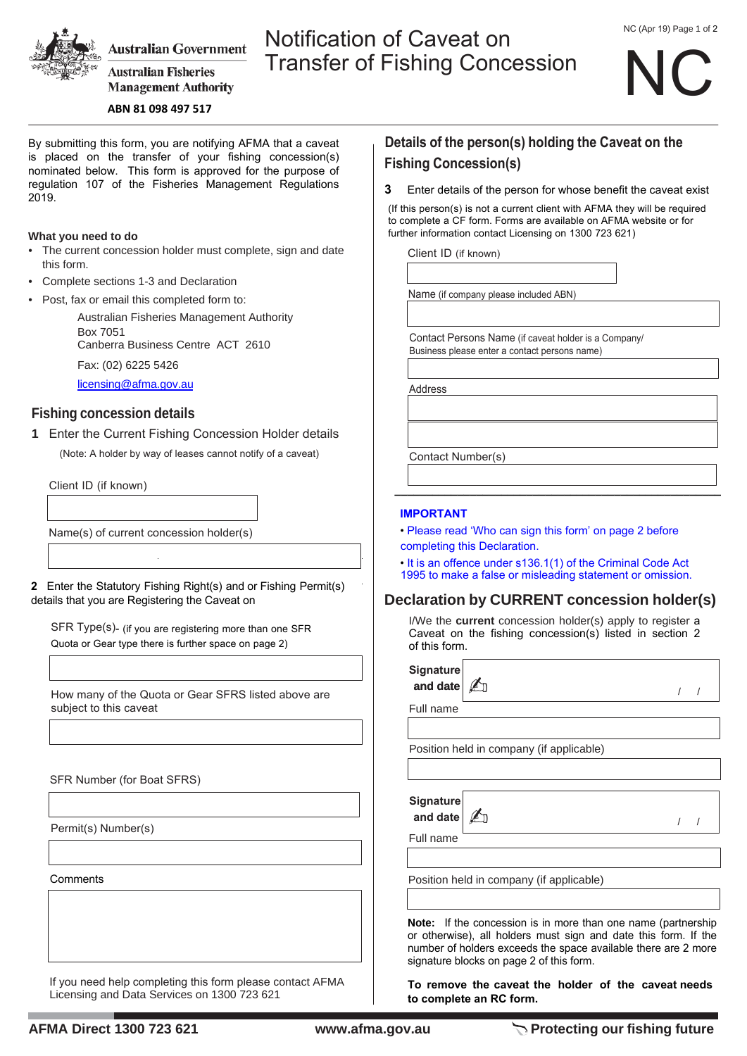

**Australian Government** 

**Australian Fisheries Management Authority** 

#### **ABN 81 098 497 517**

By submitting this form, you are notifying AFMA that a caveat is placed on the transfer of your fishing concession(s) nominated below. This form is approved for the purpose of regulation 107 of the Fisheries Management Regulations 2019.

#### **What you need to do**

- The current concession holder must complete, sign and date this form.
- Complete sections 1-3 and Declaration
- Post, fax or email this completed form to:

Australian Fisheries Management Authority Box 7051 Canberra Business Centre ACT 2610 Fax: (02) 6225 5426

licensing@afma.gov.au

## **Fishing concession details**

**1** Enter the Current Fishing Concession Holder details (Note: A holder by way of leases cannot notify of a caveat)

Client ID (if known)

Name(s) of current concession holder(s)

**2** Enter the Statutory Fishing Right(s) and or Fishing Permit(s) details that you are Registering the Caveat on

SFR Type(s)- (if you are registering more than one SFR Quota or Gear type there is further space on page 2)

How many of the Quota or Gear SFRS listed above are subject to this caveat

SFR Number (for Boat SFRS)

Permit(s) Number(s)

**Comments** 

If you need help completing this form please contact AFMA Licensing and Data Services on 1300 723 621

# **Details of the person(s) holding the Caveat on the Fishing Concession(s)**

**3** Enter details of the person for whose benefit the caveat exist

(If this person(s) is not a current client with AFMA they will be required to complete a CF form. Forms are available on AFMA website or for further information contact Licensing on 1300 723 621)

Client ID (if known)

Notification of Caveat on

Transfer of Fishing Concession

Name (if company please included ABN)

Contact Persons Name (if caveat holder is a Company/ Business please enter a contact persons name)

Address

Contact Number(s)

#### **IMPORTANT**

- Please read 'Who can sign this form' on page 2 before completing this Declaration.
- It is an offence under s136.1(1) of the Criminal Code Act 1995 to make a false or misleading statement or omission.

**\_\_\_\_\_\_\_\_\_\_\_\_\_\_\_\_\_\_\_\_\_\_\_\_\_\_\_\_\_\_\_\_\_\_\_\_\_\_\_\_\_\_\_\_\_\_\_\_\_\_\_\_**

### **Declaration by CURRENT concession holder(s)**

I/We the **current** concession holder(s) apply to register a Caveat on the fishing concession(s) listed in section 2 of this form.

| <b>Signature</b><br>and date |                                          |  |
|------------------------------|------------------------------------------|--|
| Full name                    |                                          |  |
|                              |                                          |  |
|                              | Position held in company (if applicable) |  |
|                              |                                          |  |
|                              |                                          |  |
| <b>Signature</b><br>and date |                                          |  |
|                              |                                          |  |
|                              |                                          |  |
|                              |                                          |  |
| Full name                    |                                          |  |
|                              | Position held in company (if applicable) |  |

**Note:** If the concession is in more than one name (partnership or otherwise), all holders must sign and date this form. If the number of holders exceeds the space available there are 2 more signature blocks on page 2 of this form.

**To remove the caveat the holder of the caveat needs to complete an RC form.**

NC